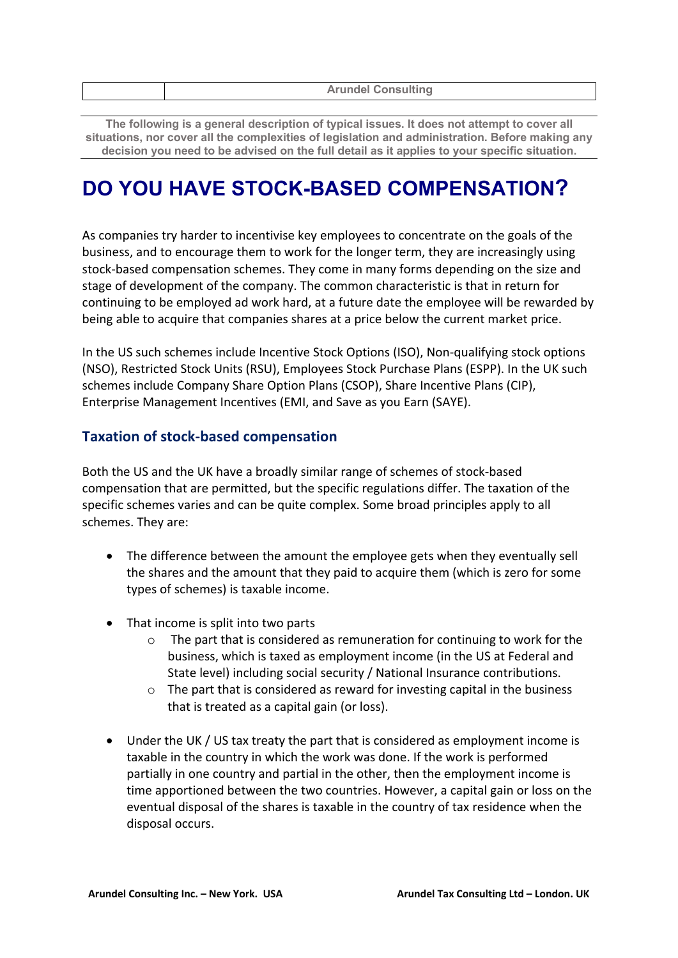| <b>Arundel Consulting</b> |
|---------------------------|
|                           |

**The following is a general description of typical issues. It does not attempt to cover all situations, nor cover all the complexities of legislation and administration. Before making any decision you need to be advised on the full detail as it applies to your specific situation.**

## **DO YOU HAVE STOCK-BASED COMPENSATION?**

As companies try harder to incentivise key employees to concentrate on the goals of the business, and to encourage them to work for the longer term, they are increasingly using stock-based compensation schemes. They come in many forms depending on the size and stage of development of the company. The common characteristic is that in return for continuing to be employed ad work hard, at a future date the employee will be rewarded by being able to acquire that companies shares at a price below the current market price.

In the US such schemes include Incentive Stock Options (ISO), Non-qualifying stock options (NSO), Restricted Stock Units (RSU), Employees Stock Purchase Plans (ESPP). In the UK such schemes include Company Share Option Plans (CSOP), Share Incentive Plans (CIP), Enterprise Management Incentives (EMI, and Save as you Earn (SAYE).

## **Taxation of stock-based compensation**

Both the US and the UK have a broadly similar range of schemes of stock-based compensation that are permitted, but the specific regulations differ. The taxation of the specific schemes varies and can be quite complex. Some broad principles apply to all schemes. They are:

- The difference between the amount the employee gets when they eventually sell the shares and the amount that they paid to acquire them (which is zero for some types of schemes) is taxable income.
- That income is split into two parts
	- o The part that is considered as remuneration for continuing to work for the business, which is taxed as employment income (in the US at Federal and State level) including social security / National Insurance contributions.
	- o The part that is considered as reward for investing capital in the business that is treated as a capital gain (or loss).
- Under the UK / US tax treaty the part that is considered as employment income is taxable in the country in which the work was done. If the work is performed partially in one country and partial in the other, then the employment income is time apportioned between the two countries. However, a capital gain or loss on the eventual disposal of the shares is taxable in the country of tax residence when the disposal occurs.